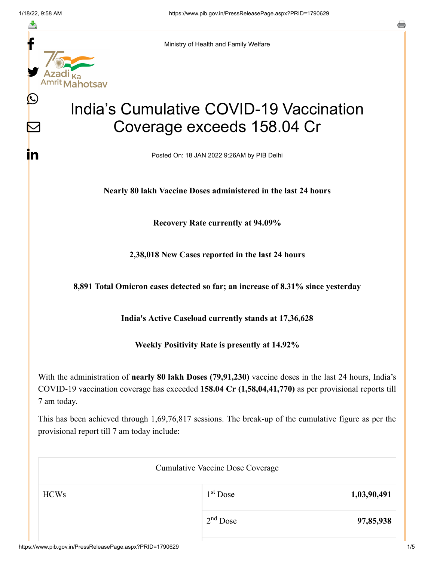f

≛

y.

 $\mathbf{\Omega}$ 

 $\boldsymbol{\mathsf{V}}$ 

<u>in</u>

Ministry of Health and Family Welfare

## India's Cumulative COVID-19 Vaccination Coverage exceeds 158.04 Cr

Posted On: 18 JAN 2022 9:26AM by PIB Delhi

**Nearly 80 lakh Vaccine Doses administered in the last 24 hours**

**Recovery Rate currently at 94.09%**

**2,38,018 New Cases reported in the last 24 hours**

**8,891 Total Omicron cases detected so far; an increase of 8.31% since yesterday**

**India's Active Caseload currently stands at 17,36,628**

**Weekly Positivity Rate is presently at 14.92%**

With the administration of **nearly 80 lakh Doses (79,91,230)** vaccine doses in the last 24 hours, India's COVID-19 vaccination coverage has exceeded **158.04 Cr (1,58,04,41,770)** as per provisional reports till 7 am today.

This has been achieved through 1,69,76,817 sessions. The break-up of the cumulative figure as per the provisional report till 7 am today include:

| <b>Cumulative Vaccine Dose Coverage</b> |            |             |  |
|-----------------------------------------|------------|-------------|--|
| <b>HCWs</b>                             | $1st$ Dose | 1,03,90,491 |  |
|                                         | $2nd$ Dose | 97,85,938   |  |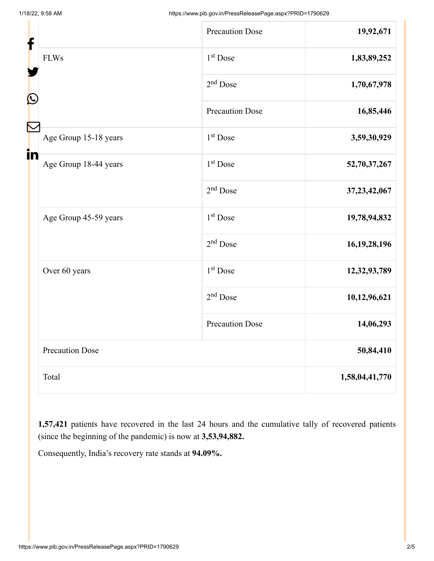| f<br>C |                        | <b>Precaution Dose</b> | 19,92,671       |
|--------|------------------------|------------------------|-----------------|
|        | <b>FLWs</b>            | $1st$ Dose             | 1,83,89,252     |
|        |                        | $2nd$ Dose             | 1,70,67,978     |
|        |                        | <b>Precaution Dose</b> | 16,85,446       |
|        | Age Group 15-18 years  | 1 <sup>st</sup> Dose   | 3,59,30,929     |
| in     | Age Group 18-44 years  | 1 <sup>st</sup> Dose   | 52,70,37,267    |
|        |                        | $2nd$ Dose             | 37, 23, 42, 067 |
|        | Age Group 45-59 years  | $1st$ Dose             | 19,78,94,832    |
|        |                        | $2nd$ Dose             | 16, 19, 28, 196 |
|        | Over 60 years          | $1st$ Dose             | 12,32,93,789    |
|        |                        | $2nd$ Dose             | 10,12,96,621    |
|        |                        | <b>Precaution Dose</b> | 14,06,293       |
|        | <b>Precaution Dose</b> |                        | 50,84,410       |
|        | Total                  |                        | 1,58,04,41,770  |

**1,57,421** patients have recovered in the last 24 hours and the cumulative tally of recovered patients (since the beginning of the pandemic) is now at **3,53,94,882.**

Consequently, India's recovery rate stands at **94.09%.**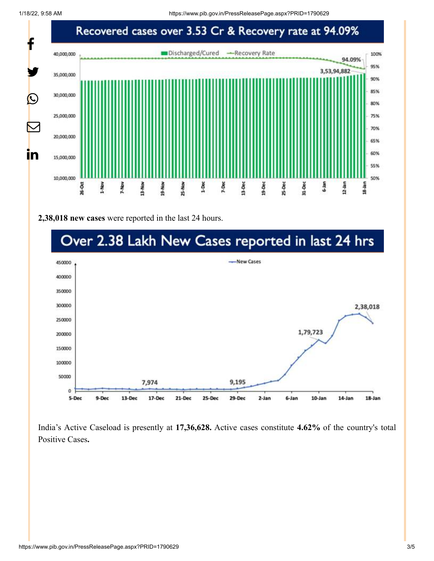

**2,38,018 new cases** were reported in the last 24 hours.



India's Active Caseload is presently at **17,36,628.** Active cases constitute **4.62%** of the country's total Positive Cases**.**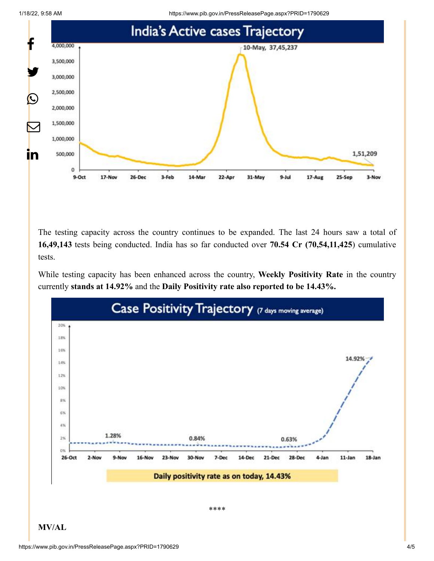1/18/22, 9:58 AM https://www.pib.gov.in/PressReleasePage.aspx?PRID=1790629





The testing capacity across the country continues to be expanded. The last 24 hours saw a total of **16,49,143** tests being conducted. India has so far conducted over **70.54 Cr (70,54,11,425**) cumulative tests.

While testing capacity has been enhanced across the country, **Weekly Positivity Rate** in the country currently **stands at 14.92%** and the **Daily Positivity rate also reported to be 14.43%.**